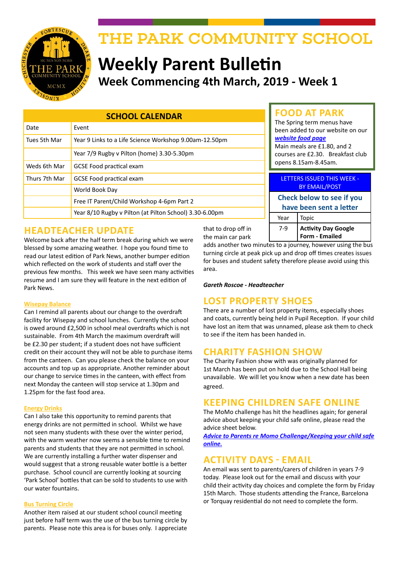

# THE PARK COMMUNITY SCHOOL

# **Weekly Parent Bulletin Week Commencing 4th March, 2019 - Week 1**

| <b>SCHOOL CALENDAR</b> |                                                         |
|------------------------|---------------------------------------------------------|
| Date                   | Event                                                   |
| Tues 5th Mar           | Year 9 Links to a Life Science Workshop 9.00am-12.50pm  |
|                        | Year 7/9 Rugby v Pilton (home) 3.30-5.30pm              |
| Weds 6th Mar           | <b>GCSE Food practical exam</b>                         |
| Thurs 7th Mar          | <b>GCSE Food practical exam</b>                         |
|                        | World Book Day                                          |
|                        | Free IT Parent/Child Workshop 4-6pm Part 2              |
|                        | Year 8/10 Rugby v Pilton (at Pilton School) 3.30-6.00pm |

## **HEADTEACHER UPDATE**

Welcome back after the half term break during which we were blessed by some amazing weather. I hope you found time to read our latest edition of Park News, another bumper edition which reflected on the work of students and staff over the previous few months. This week we have seen many activities resume and I am sure they will feature in the next edition of Park News.

#### **Wisepay Balance**

Can I remind all parents about our change to the overdraft facility for Wisepay and school lunches. Currently the school is owed around £2,500 in school meal overdrafts which is not sustainable. From 4th March the maximum overdraft will be £2.30 per student; if a student does not have sufficient credit on their account they will not be able to purchase items from the canteen. Can you please check the balance on your accounts and top up as appropriate. Another reminder about our change to service times in the canteen, with effect from next Monday the canteen will stop service at 1.30pm and 1.25pm for the fast food area.

#### **Energy Drinks**

Can I also take this opportunity to remind parents that energy drinks are not permitted in school. Whilst we have not seen many students with these over the winter period, with the warm weather now seems a sensible time to remind parents and students that they are not permitted in school. We are currently installing a further water dispenser and would suggest that a strong reusable water bottle is a better purchase. School council are currently looking at sourcing 'Park School' bottles that can be sold to students to use with our water fountains.

#### **Bus Turning Circle**

Another item raised at our student school council meeting just before half term was the use of the bus turning circle by parents. Please note this area is for buses only. I appreciate

that to drop off in the main car park

adds another two minutes to a journey, however using the bus turning circle at peak pick up and drop off times creates issues for buses and student safety therefore please avoid using this area.

Year Topic

**FOOD AT PARK** The Spring term menus have been added to our website on our

Main meals are £1.80, and 2 courses are £2.30. Breakfast club

LETTERS ISSUED THIS WEEK - BY EMAIL/POST **Check below to see if you have been sent a letter**

7-9 **Activity Day Google Form - Emailed**

*[website food page](http://www.theparkschool.org.uk/food-park)*

opens 8.15am-8.45am.

#### *Gareth Roscoe - Headteacher*

#### **LOST PROPERTY SHOES**

There are a number of lost property items, especially shoes and coats, currently being held in Pupil Reception. If your child have lost an item that was unnamed, please ask them to check to see if the item has been handed in.

#### **CHARITY FASHION SHOW**

The Charity Fashion show with was originally planned for 1st March has been put on hold due to the School Hall being unavailable. We will let you know when a new date has been agreed.

#### **KEEPING CHILDREN SAFE ONLINE**

The MoMo challenge has hit the headlines again; for general advice about keeping your child safe online, please read the advice sheet below.

*[Advice to Parents re Momo Challenge/Keeping your child safe](http://www.theparkschool.org.uk/sites/default/files/Advice%20to%20parents%20regarding%20momo%20challenge%20and%20keeping%20child%20safe%20online..pdf)  [online.](http://www.theparkschool.org.uk/sites/default/files/Advice%20to%20parents%20regarding%20momo%20challenge%20and%20keeping%20child%20safe%20online..pdf)*

#### **ACTIVITY DAYS - EMAIL**

An email was sent to parents/carers of children in years 7-9 today. Please look out for the email and discuss with your child their activity day choices and complete the form by Friday 15th March. Those students attending the France, Barcelona or Torquay residential do not need to complete the form.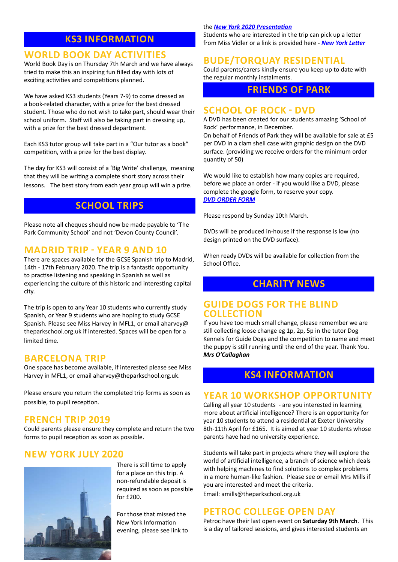# **KS3 INFORMATION**

#### **WORLD BOOK DAY ACTIVITIES**

World Book Day is on Thursday 7th March and we have always tried to make this an inspiring fun filled day with lots of exciting activities and competitions planned.

We have asked KS3 students (Years 7-9) to come dressed as a book-related character, with a prize for the best dressed student. Those who do not wish to take part, should wear their school uniform. Staff will also be taking part in dressing up, with a prize for the best dressed department.

Each KS3 tutor group will take part in a "Our tutor as a book" competition, with a prize for the best display.

The day for KS3 will consist of a 'Big Write' challenge, meaning that they will be writing a complete short story across their lessons.The best story from each year group will win a prize.

#### **SCHOOL TRIPS**

Please note all cheques should now be made payable to 'The Park Community School' and not 'Devon County Council'.

## **MADRID TRIP - YEAR 9 AND 10**

There are spaces available for the GCSE Spanish trip to Madrid, 14th - 17th February 2020. The trip is a fantastic opportunity to practise listening and speaking in Spanish as well as experiencing the culture of this historic and interesting capital city.

The trip is open to any Year 10 students who currently study Spanish, or Year 9 students who are hoping to study GCSE Spanish. Please see Miss Harvey in MFL1, or email aharvey@ theparkschool.org.uk if interested. Spaces will be open for a limited time.

#### **BARCELONA TRIP**

One space has become available, if interested please see Miss Harvey in MFL1, or email aharvey@theparkschool.org.uk.

Please ensure you return the completed trip forms as soon as possible, to pupil reception.

#### **FRENCH TRIP 2019**

Could parents please ensure they complete and return the two forms to pupil reception as soon as possible.

## **NEW YORK JULY 2020**



There is still time to apply for a place on this trip. A non-refundable deposit is required as soon as possible for £200.

For those that missed the New York Information evening, please see link to

#### the *[New York 2020 Presentation](http://www.theparkschool.org.uk/sites/default/files/NewYorkMeetingPowerPoint-July2020.pdf)*

Students who are interested in the trip can pick up a letter from Miss Vidler or a link is provided here - *[New York Letter](http://www.theparkschool.org.uk/sites/default/files/Payment%20Plan%20and%20Itinerary%20letter%202020.pdf)*

# **BUDE/TORQUAY RESIDENTIAL**

Could parents/carers kindly ensure you keep up to date with the regular monthly instalments.

#### **FRIENDS OF PARK**

#### **SCHOOL OF ROCK - DVD**

A DVD has been created for our students amazing 'School of Rock' performance, in December.

On behalf of Friends of Park they will be available for sale at £5 per DVD in a clam shell case with graphic design on the DVD surface. (providing we receive orders for the minimum order quantity of 50)

We would like to establish how many copies are required, before we place an order - if you would like a DVD, please complete the google form, to reserve your copy. *[DVD ORDER FORM](https://bit.ly/2N4RUnU)*

Please respond by Sunday 10th March.

DVDs will be produced in-house if the response is low (no design printed on the DVD surface).

When ready DVDs will be available for collection from the School Office.

# **CHARITY NEWS**

#### **GUIDE DOGS FOR THE BLIND COLLECTION**

If you have too much small change, please remember we are still collecting loose change eg 1p, 2p, 5p in the tutor Dog Kennels for Guide Dogs and the competition to name and meet the puppy is still running until the end of the year. Thank You. *Mrs O'Callaghan*

## **KS4 INFORMATION**

#### **YEAR 10 WORKSHOP OPPORTUNITY**

Calling all year 10 students - are you interested in learning more about artificial intelligence? There is an opportunity for year 10 students to attend a residential at Exeter University 8th-11th April for £165. It is aimed at year 10 students whose parents have had no university experience.

Students will take part in projects where they will explore the world of artificial intelligence, a branch of science which deals with helping machines to find solutions to complex problems in a more human-like fashion. Please see or email Mrs Mills if you are interested and meet the criteria.

Email: amills@theparkschool.org.uk

# **PETROC COLLEGE OPEN DAY**

Petroc have their last open event on **Saturday 9th March**. This is a day of tailored sessions, and gives interested students an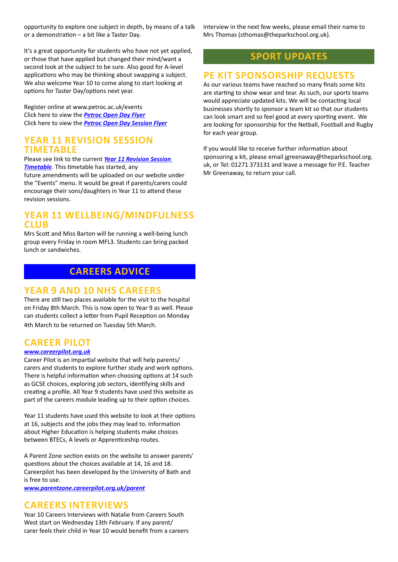opportunity to explore one subject in depth, by means of a talk or a demonstration – a bit like a Taster Day.

interview in the next few weeks, please email their name to Mrs Thomas (sthomas@theparkschool.org.uk).

It's a great opportunity for students who have not yet applied, or those that have applied but changed their mind/want a second look at the subject to be sure. Also good for A-level applications who may be thinking about swapping a subject. We also welcome Year 10 to come along to start looking at options for Taster Day/options next year.

Register online at www.petroc.ac.uk/events Click here to view the *[Petroc Open Day Flyer](http://www.theparkschool.org.uk/sites/default/files/March%20Open%20Day_Secondary%20School%20Newsletter.pdf)* Click here to view the *[Petroc Open Day Session Flyer](http://www.theparkschool.org.uk/sites/default/files/March_Open%20Day_Timetable_V6.pdf)*

#### **YEAR 11 REVISION SESSION TIMETABLE**

Please see link to the current *[Year 11 Revision Session](https://docs.google.com/document/d/1dNMh7-L1kyihGF64pufxK6rpksF0LmhP7VMcilHf7oM/edit?usp=sharing)  [Timetable](https://docs.google.com/document/d/1dNMh7-L1kyihGF64pufxK6rpksF0LmhP7VMcilHf7oM/edit?usp=sharing)*. This timetable has started, any

future amendments will be uploaded on our website under the "Events" menu. It would be great if parents/carers could encourage their sons/daughters in Year 11 to attend these revision sessions.

#### **YEAR 11 WELLBEING/MINDFULNESS CLUB**

Mrs Scott and Miss Barton will be running a well-being lunch group every Friday in room MFL3. Students can bring packed lunch or sandwiches.

# **CAREERS ADVICE**

## **YEAR 9 AND 10 NHS CAREERS**

There are still two places available for the visit to the hospital on Friday 8th March. This is now open to Year 9 as well. Please can students collect a letter from Pupil Reception on Monday 4th March to be returned on Tuesday 5th March.

# **CAREER PILOT**

#### *[www.careerpilot.org.uk](http://www.careerpilot.org.uk)*

Career Pilot is an impartial website that will help parents/ carers and students to explore further study and work options. There is helpful information when choosing options at 14 such as GCSE choices, exploring job sectors, identifying skills and creating a profile. All Year 9 students have used this website as part of the careers module leading up to their option choices.

Year 11 students have used this website to look at their options at 16, subjects and the jobs they may lead to. Information about Higher Education is helping students make choices between BTECs, A levels or Apprenticeship routes.

A Parent Zone section exists on the website to answer parents' questions about the choices available at 14, 16 and 18. Careerpilot has been developed by the University of Bath and is free to use.

*[www.parentzone.careerpilot.org.uk/parent](http://www.parentzone.careerpilot.org.uk/parent)*

## **CAREERS INTERVIEWS**

Year 10 Careers Interviews with Natalie from Careers South West start on Wednesday 13th February. If any parent/ carer feels their child in Year 10 would benefit from a careers

## **SPORT UPDATES**

#### **PE KIT SPONSORSHIP REQUESTS**

As our various teams have reached so many finals some kits are starting to show wear and tear. As such, our sports teams would appreciate updated kits. We will be contacting local businesses shortly to sponsor a team kit so that our students can look smart and so feel good at every sporting event. We are looking for sponsorship for the Netball, Football and Rugby for each year group.

If you would like to receive further information about sponsoring a kit, please email jgreenaway@theparkschool.org. uk, or Tel: 01271 373131 and leave a message for P.E. Teacher Mr Greenaway, to return your call.